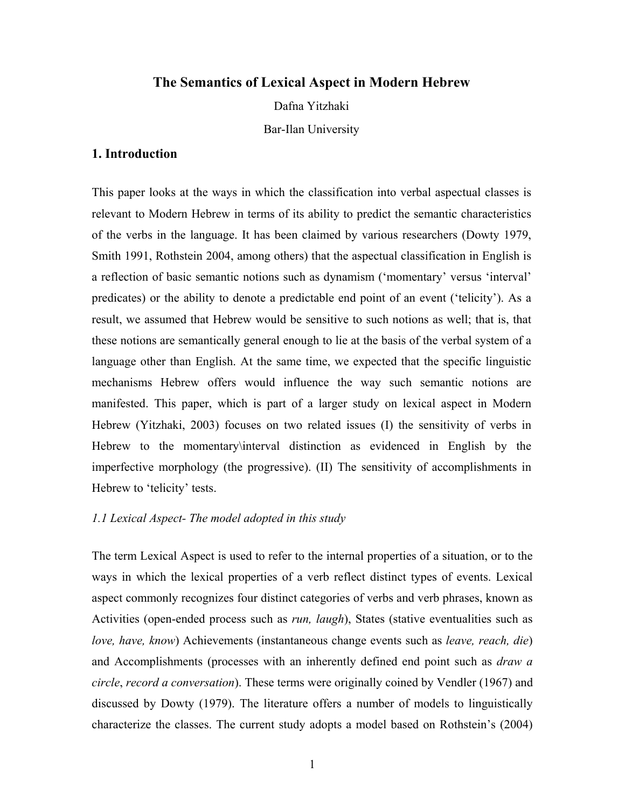# **The Semantics of Lexical Aspect in Modern Hebrew**

Dafna Yitzhaki

Bar-Ilan University

# **1. Introduction**

This paper looks at the ways in which the classification into verbal aspectual classes is relevant to Modern Hebrew in terms of its ability to predict the semantic characteristics of the verbs in the language. It has been claimed by various researchers (Dowty 1979, Smith 1991, Rothstein 2004, among others) that the aspectual classification in English is a reflection of basic semantic notions such as dynamism ('momentary' versus 'interval' predicates) or the ability to denote a predictable end point of an event ('telicity'). As a result, we assumed that Hebrew would be sensitive to such notions as well; that is, that these notions are semantically general enough to lie at the basis of the verbal system of a language other than English. At the same time, we expected that the specific linguistic mechanisms Hebrew offers would influence the way such semantic notions are manifested. This paper, which is part of a larger study on lexical aspect in Modern Hebrew (Yitzhaki, 2003) focuses on two related issues (I) the sensitivity of verbs in Hebrew to the momentary\interval distinction as evidenced in English by the imperfective morphology (the progressive). (II) The sensitivity of accomplishments in Hebrew to 'telicity' tests.

#### *1.1 Lexical Aspect- The model adopted in this study*

The term Lexical Aspect is used to refer to the internal properties of a situation, or to the ways in which the lexical properties of a verb reflect distinct types of events. Lexical aspect commonly recognizes four distinct categories of verbs and verb phrases, known as Activities (open-ended process such as *run, laugh*), States (stative eventualities such as *love, have, know*) Achievements (instantaneous change events such as *leave, reach, die*) and Accomplishments (processes with an inherently defined end point such as *draw a circle*, *record a conversation*). These terms were originally coined by Vendler (1967) and discussed by Dowty (1979). The literature offers a number of models to linguistically characterize the classes. The current study adopts a model based on Rothstein's (2004)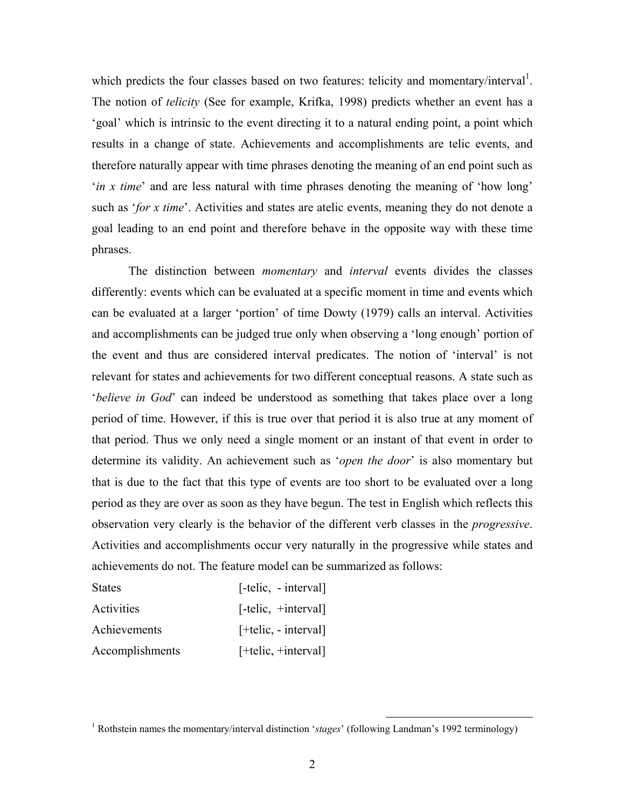which predicts the four classes based on two features: telicity and momentary/interval<sup>1</sup>. The notion of *telicity* (See for example, Krifka, 1998) predicts whether an event has a 'goal' which is intrinsic to the event directing it to a natural ending point, a point which results in a change of state. Achievements and accomplishments are telic events, and therefore naturally appear with time phrases denoting the meaning of an end point such as '*in x time*' and are less natural with time phrases denoting the meaning of 'how long' such as '*for x time*'. Activities and states are atelic events, meaning they do not denote a goal leading to an end point and therefore behave in the opposite way with these time phrases.

The distinction between *momentary* and *interval* events divides the classes differently: events which can be evaluated at a specific moment in time and events which can be evaluated at a larger 'portion' of time Dowty (1979) calls an interval. Activities and accomplishments can be judged true only when observing a 'long enough' portion of the event and thus are considered interval predicates. The notion of 'interval' is not relevant for states and achievements for two different conceptual reasons. A state such as '*believe in God*' can indeed be understood as something that takes place over a long period of time. However, if this is true over that period it is also true at any moment of that period. Thus we only need a single moment or an instant of that event in order to determine its validity. An achievement such as '*open the door*' is also momentary but that is due to the fact that this type of events are too short to be evaluated over a long period as they are over as soon as they have begun. The test in English which reflects this observation very clearly is the behavior of the different verb classes in the *progressive*. Activities and accomplishments occur very naturally in the progressive while states and achievements do not. The feature model can be summarized as follows:

| <b>States</b>   | $[-\text{telic}, -\text{interval}]$ |
|-----------------|-------------------------------------|
| Activities      | $[-\text{telic}, +\text{interval}]$ |
| Achievements    | $[+telic, - interval]$              |
| Accomplishments | $[+telic, +interval]$               |

<sup>&</sup>lt;sup>1</sup> Rothstein names the momentary/interval distinction '*stages*' (following Landman's 1992 terminology)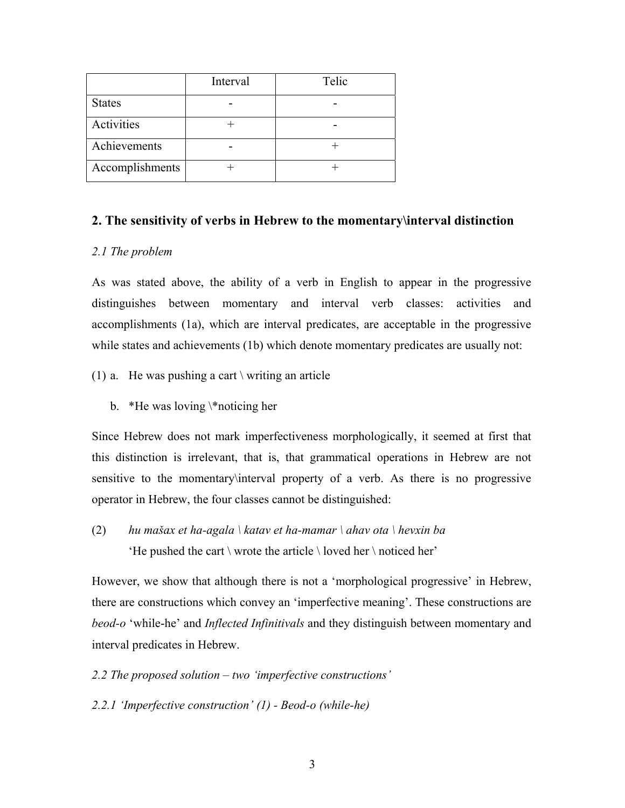|                 | Interval | Telic |
|-----------------|----------|-------|
| <b>States</b>   |          |       |
| Activities      |          |       |
| Achievements    |          |       |
| Accomplishments |          |       |

# **2. The sensitivity of verbs in Hebrew to the momentary\interval distinction**

### *2.1 The problem*

As was stated above, the ability of a verb in English to appear in the progressive distinguishes between momentary and interval verb classes: activities and accomplishments (1a), which are interval predicates, are acceptable in the progressive while states and achievements (1b) which denote momentary predicates are usually not:

- (1) a. He was pushing a cart  $\vert$  writing an article
	- b. \*He was loving \\*noticing her

Since Hebrew does not mark imperfectiveness morphologically, it seemed at first that this distinction is irrelevant, that is, that grammatical operations in Hebrew are not sensitive to the momentary\interval property of a verb. As there is no progressive operator in Hebrew, the four classes cannot be distinguished:

(2) *hu mašax et ha-agala \ katav et ha-mamar \ ahav ota \ hevxin ba* 'He pushed the cart  $\vert$  wrote the article  $\vert$  loved her  $\vert$  noticed her'

However, we show that although there is not a 'morphological progressive' in Hebrew, there are constructions which convey an 'imperfective meaning'. These constructions are *beod-o* 'while-he' and *Inflected Infinitivals* and they distinguish between momentary and interval predicates in Hebrew.

- *2.2 The proposed solution two 'imperfective constructions'*
- *2.2.1 'Imperfective construction' (1) Beod-o (while-he)*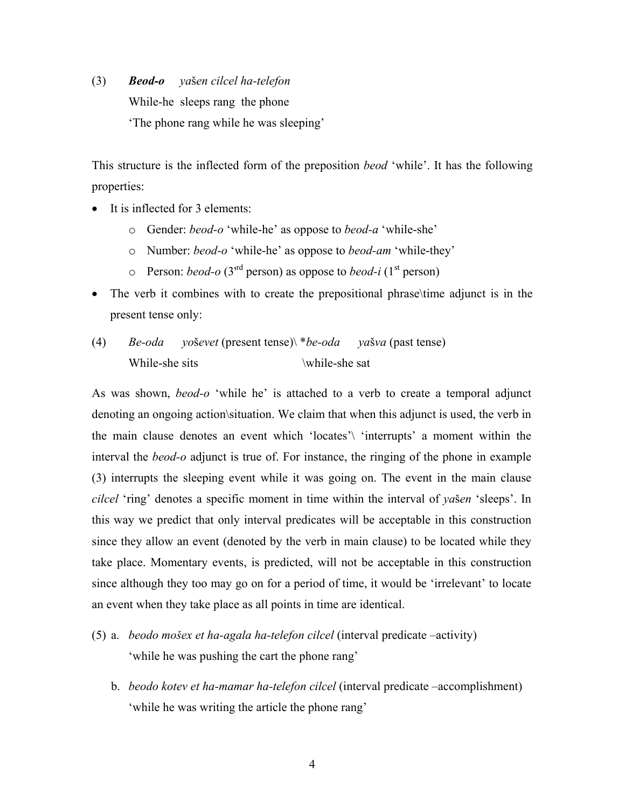(3) *Beod-o ya*š*en cilcel ha-telefon*  While-he sleeps rang the phone 'The phone rang while he was sleeping'

This structure is the inflected form of the preposition *beod* 'while'. It has the following properties:

- It is inflected for 3 elements:
	- o Gender: *beod-o* 'while-he' as oppose to *beod-a* 'while-she'
	- o Number: *beod-o* 'while-he' as oppose to *beod-am* 'while-they'
	- $\circ$  Person: *beod-o* (3<sup>rd</sup> person) as oppose to *beod-i* (1<sup>st</sup> person)
- The verb it combines with to create the prepositional phrase\time adjunct is in the present tense only:
- (4) *Be-oda yo*š*evet* (present tense)\ \**be-oda ya*š*va* (past tense) While-she sits  $\hbar$  \while-she sat

As was shown, *beod-o* 'while he' is attached to a verb to create a temporal adjunct denoting an ongoing action\situation. We claim that when this adjunct is used, the verb in the main clause denotes an event which 'locates'\ 'interrupts' a moment within the interval the *beod-o* adjunct is true of. For instance, the ringing of the phone in example (3) interrupts the sleeping event while it was going on. The event in the main clause *cilcel* 'ring' denotes a specific moment in time within the interval of *ya*š*en* 'sleeps'. In this way we predict that only interval predicates will be acceptable in this construction since they allow an event (denoted by the verb in main clause) to be located while they take place. Momentary events, is predicted, will not be acceptable in this construction since although they too may go on for a period of time, it would be 'irrelevant' to locate an event when they take place as all points in time are identical.

- (5) a. *beodo mošex et ha-agala ha-telefon cilcel* (interval predicate –activity) 'while he was pushing the cart the phone rang'
	- b. *beodo kotev et ha-mamar ha-telefon cilcel* (interval predicate –accomplishment) 'while he was writing the article the phone rang'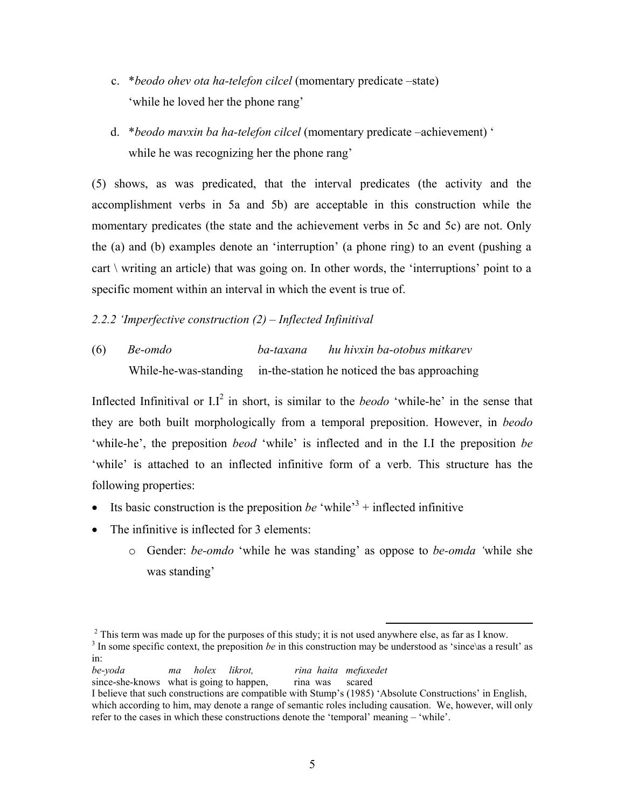- c. \**beodo ohev ota ha-telefon cilcel* (momentary predicate –state) 'while he loved her the phone rang'
- d. \**beodo mavxin ba ha-telefon cilcel* (momentary predicate –achievement) ' while he was recognizing her the phone rang'

(5) shows, as was predicated, that the interval predicates (the activity and the accomplishment verbs in 5a and 5b) are acceptable in this construction while the momentary predicates (the state and the achievement verbs in 5c and 5c) are not. Only the (a) and (b) examples denote an 'interruption' (a phone ring) to an event (pushing a cart  $\backslash$  writing an article) that was going on. In other words, the 'interruptions' point to a specific moment within an interval in which the event is true of.

# *2.2.2 'Imperfective construction (2) – Inflected Infinitival*

(6) *Be-omdo ba-taxana hu hivxin ba-otobus mitkarev*  While-he-was-standing in-the-station he noticed the bas approaching

Inflected Infinitival or  $LI^2$  in short, is similar to the *beodo* 'while-he' in the sense that they are both built morphologically from a temporal preposition. However, in *beodo* 'while-he', the preposition *beod* 'while' is inflected and in the I.I the preposition *be* 'while' is attached to an inflected infinitive form of a verb. This structure has the following properties:

- Its basic construction is the preposition *be* 'while<sup>3</sup> + inflected infinitive
- The infinitive is inflected for 3 elements:
	- o Gender: *be-omdo* 'while he was standing' as oppose to *be-omda '*while she was standing'

```
be-yoda ma holex likrot, rina haita mefuxedet
```

```
since-she-knows what is going to happen, rina was scared
```
<sup>&</sup>lt;sup>2</sup> This term was made up for the purposes of this study; it is not used anywhere else, as far as I know. <sup>3</sup> In some specific context, the preposition *be* in this construction may be understood as 'since\as a result' as in:

I believe that such constructions are compatible with Stump's (1985) 'Absolute Constructions' in English, which according to him, may denote a range of semantic roles including causation. We, however, will only refer to the cases in which these constructions denote the 'temporal' meaning – 'while'.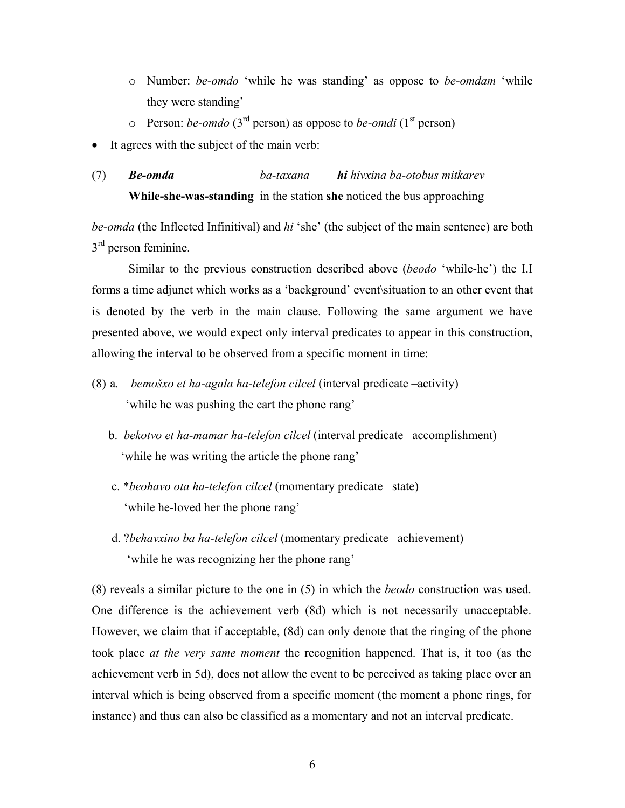- o Number: *be-omdo* 'while he was standing' as oppose to *be-omdam* 'while they were standing'
- $\circ$  Person: *be-omdo* (3<sup>rd</sup> person) as oppose to *be-omdi* (1<sup>st</sup> person)
- It agrees with the subject of the main verb:
- (7) *Be-omda ba-taxana hi hivxina ba-otobus mitkarev*  **While-she-was-standing** in the station **she** noticed the bus approaching

*be-omda* (the Inflected Infinitival) and *hi* 'she' (the subject of the main sentence) are both  $3<sup>rd</sup>$  person feminine.

 Similar to the previous construction described above (*beodo* 'while-he') the I.I forms a time adjunct which works as a 'background' event\situation to an other event that is denoted by the verb in the main clause. Following the same argument we have presented above, we would expect only interval predicates to appear in this construction, allowing the interval to be observed from a specific moment in time:

- (8) a*. bemošxo et ha-agala ha-telefon cilcel* (interval predicate –activity) 'while he was pushing the cart the phone rang'
	- b. *bekotvo et ha-mamar ha-telefon cilcel* (interval predicate –accomplishment) 'while he was writing the article the phone rang'
	- c. \**beohavo ota ha-telefon cilcel* (momentary predicate –state) 'while he-loved her the phone rang'
	- d. ?*behavxino ba ha-telefon cilcel* (momentary predicate –achievement) 'while he was recognizing her the phone rang'

(8) reveals a similar picture to the one in (5) in which the *beodo* construction was used. One difference is the achievement verb (8d) which is not necessarily unacceptable. However, we claim that if acceptable, (8d) can only denote that the ringing of the phone took place *at the very same moment* the recognition happened. That is, it too (as the achievement verb in 5d), does not allow the event to be perceived as taking place over an interval which is being observed from a specific moment (the moment a phone rings, for instance) and thus can also be classified as a momentary and not an interval predicate.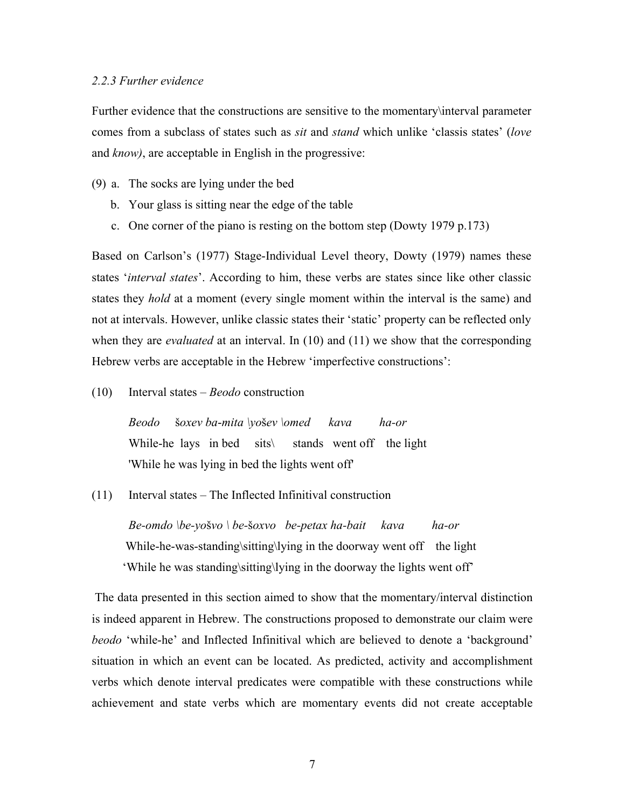#### *2.2.3 Further evidence*

Further evidence that the constructions are sensitive to the momentary\interval parameter comes from a subclass of states such as *sit* and *stand* which unlike 'classis states' (*love* and *know)*, are acceptable in English in the progressive:

- (9) a. The socks are lying under the bed
	- b. Your glass is sitting near the edge of the table
	- c. One corner of the piano is resting on the bottom step (Dowty 1979 p.173)

Based on Carlson's (1977) Stage-Individual Level theory, Dowty (1979) names these states '*interval states*'. According to him, these verbs are states since like other classic states they *hold* at a moment (every single moment within the interval is the same) and not at intervals. However, unlike classic states their 'static' property can be reflected only when they are *evaluated* at an interval. In (10) and (11) we show that the corresponding Hebrew verbs are acceptable in the Hebrew 'imperfective constructions':

(10) Interval states – *Beodo* construction

 *Beodo* š*oxev ba*-*mita \yo*š*ev \omed kava ha-or* While-he lays in bed sits\ stands went off the light 'While he was lying in bed the lights went off'

(11) Interval states – The Inflected Infinitival construction

 *Be-omdo \be-yo*š*vo \ be-*š*oxvo be-petax ha-bait kava ha-or* While-he-was-standing\sitting\lying in the doorway went off the light 'While he was standing\sitting\lying in the doorway the lights went off'

The data presented in this section aimed to show that the momentary/interval distinction is indeed apparent in Hebrew. The constructions proposed to demonstrate our claim were *beodo* 'while-he' and Inflected Infinitival which are believed to denote a 'background' situation in which an event can be located. As predicted, activity and accomplishment verbs which denote interval predicates were compatible with these constructions while achievement and state verbs which are momentary events did not create acceptable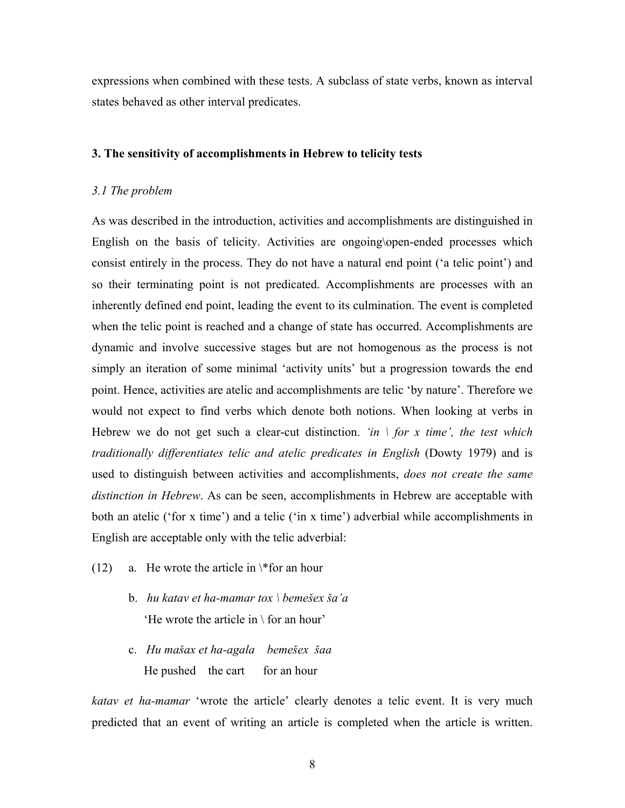expressions when combined with these tests. A subclass of state verbs, known as interval states behaved as other interval predicates.

#### **3. The sensitivity of accomplishments in Hebrew to telicity tests**

#### *3.1 The problem*

As was described in the introduction, activities and accomplishments are distinguished in English on the basis of telicity. Activities are ongoing\open-ended processes which consist entirely in the process. They do not have a natural end point ('a telic point') and so their terminating point is not predicated. Accomplishments are processes with an inherently defined end point, leading the event to its culmination. The event is completed when the telic point is reached and a change of state has occurred. Accomplishments are dynamic and involve successive stages but are not homogenous as the process is not simply an iteration of some minimal 'activity units' but a progression towards the end point. Hence, activities are atelic and accomplishments are telic 'by nature'. Therefore we would not expect to find verbs which denote both notions. When looking at verbs in Hebrew we do not get such a clear-cut distinction. *'in \ for x time', the test which traditionally differentiates telic and atelic predicates in English* (Dowty 1979) and is used to distinguish between activities and accomplishments, *does not create the same distinction in Hebrew*. As can be seen, accomplishments in Hebrew are acceptable with both an atelic ('for x time') and a telic ('in x time') adverbial while accomplishments in English are acceptable only with the telic adverbial:

- (12) a. He wrote the article in  $*$  for an hour
	- b. *hu katav et ha-mamar tox \ bemešex ša'a* 'He wrote the article in  $\setminus$  for an hour'
	- c. *Hu mašax et ha-agala bemešex šaa* He pushed the cart for an hour

*katav et ha-mamar* 'wrote the article' clearly denotes a telic event. It is very much predicted that an event of writing an article is completed when the article is written.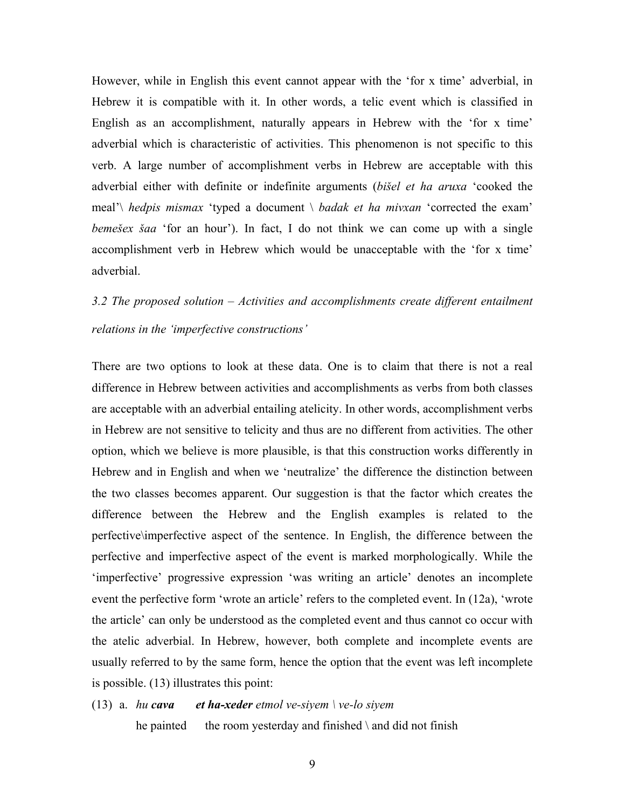However, while in English this event cannot appear with the 'for x time' adverbial, in Hebrew it is compatible with it. In other words, a telic event which is classified in English as an accomplishment, naturally appears in Hebrew with the 'for x time' adverbial which is characteristic of activities. This phenomenon is not specific to this verb. A large number of accomplishment verbs in Hebrew are acceptable with this adverbial either with definite or indefinite arguments (*bišel et ha aruxa* 'cooked the meal'\ *hedpis mismax* 'typed a document \ *badak et ha mivxan* 'corrected the exam' *bemešex šaa* 'for an hour'). In fact, I do not think we can come up with a single accomplishment verb in Hebrew which would be unacceptable with the 'for x time' adverbial.

# *3.2 The proposed solution – Activities and accomplishments create different entailment relations in the 'imperfective constructions'*

There are two options to look at these data. One is to claim that there is not a real difference in Hebrew between activities and accomplishments as verbs from both classes are acceptable with an adverbial entailing atelicity. In other words, accomplishment verbs in Hebrew are not sensitive to telicity and thus are no different from activities. The other option, which we believe is more plausible, is that this construction works differently in Hebrew and in English and when we 'neutralize' the difference the distinction between the two classes becomes apparent. Our suggestion is that the factor which creates the difference between the Hebrew and the English examples is related to the perfective\imperfective aspect of the sentence. In English, the difference between the perfective and imperfective aspect of the event is marked morphologically. While the 'imperfective' progressive expression 'was writing an article' denotes an incomplete event the perfective form 'wrote an article' refers to the completed event. In (12a), 'wrote the article' can only be understood as the completed event and thus cannot co occur with the atelic adverbial. In Hebrew, however, both complete and incomplete events are usually referred to by the same form, hence the option that the event was left incomplete is possible. (13) illustrates this point:

# (13) a. *hu cava et ha-xeder etmol ve-siyem \ ve-lo siyem*  he painted the room yesterday and finished  $\lambda$  and did not finish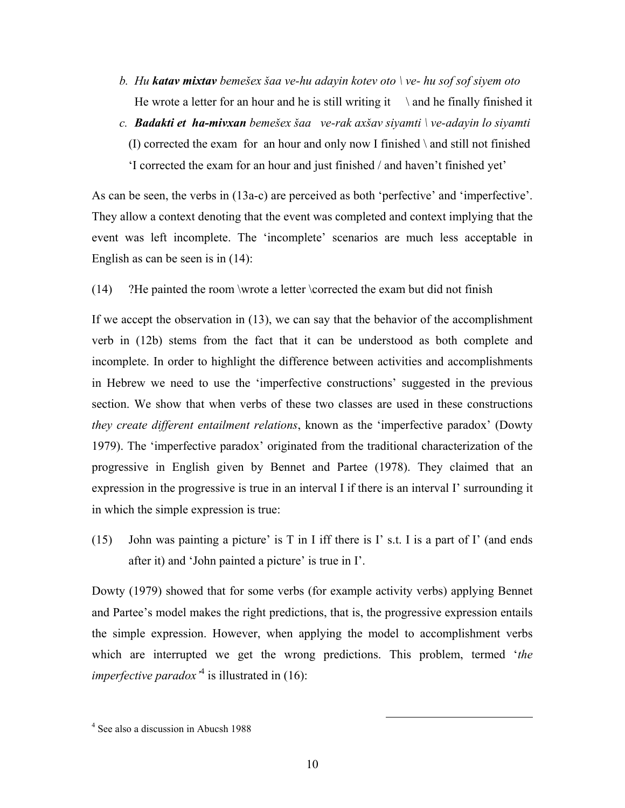- *b. Hu katav mixtav bemešex šaa ve-hu adayin kotev oto \ ve- hu sof sof siyem oto*  He wrote a letter for an hour and he is still writing it  $\qquad$  and he finally finished it
- *c. Badakti et ha-mivxan bemešex šaa ve-rak axšav siyamti \ ve-adayin lo siyamti*  (I) corrected the exam for an hour and only now I finished \ and still not finished 'I corrected the exam for an hour and just finished / and haven't finished yet'

As can be seen, the verbs in (13a-c) are perceived as both 'perfective' and 'imperfective'. They allow a context denoting that the event was completed and context implying that the event was left incomplete. The 'incomplete' scenarios are much less acceptable in English as can be seen is in (14):

(14) ?He painted the room \wrote a letter \corrected the exam but did not finish

If we accept the observation in (13), we can say that the behavior of the accomplishment verb in (12b) stems from the fact that it can be understood as both complete and incomplete. In order to highlight the difference between activities and accomplishments in Hebrew we need to use the 'imperfective constructions' suggested in the previous section. We show that when verbs of these two classes are used in these constructions *they create different entailment relations*, known as the 'imperfective paradox' (Dowty 1979). The 'imperfective paradox' originated from the traditional characterization of the progressive in English given by Bennet and Partee (1978). They claimed that an expression in the progressive is true in an interval I if there is an interval I' surrounding it in which the simple expression is true:

(15) John was painting a picture' is  $T$  in I iff there is  $I'$  s.t. I is a part of  $I'$  (and ends after it) and 'John painted a picture' is true in I'.

Dowty (1979) showed that for some verbs (for example activity verbs) applying Bennet and Partee's model makes the right predictions, that is, the progressive expression entails the simple expression. However, when applying the model to accomplishment verbs which are interrupted we get the wrong predictions. This problem, termed '*the imperfective paradox*<sup> $4$ </sup> is illustrated in (16):

 <sup>4</sup> See also a discussion in Abucsh 1988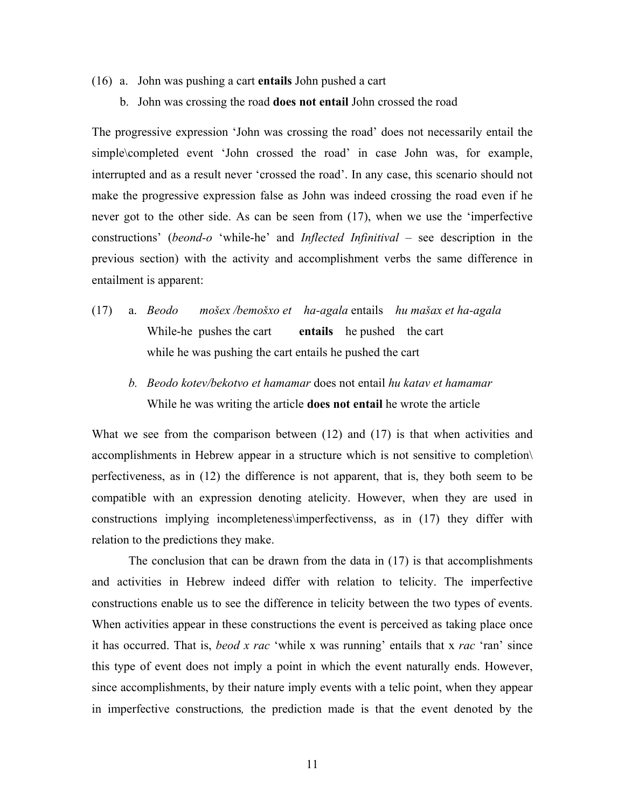- (16) a. John was pushing a cart **entails** John pushed a cart
	- b. John was crossing the road **does not entail** John crossed the road

The progressive expression 'John was crossing the road' does not necessarily entail the simple\completed event 'John crossed the road' in case John was, for example, interrupted and as a result never 'crossed the road'. In any case, this scenario should not make the progressive expression false as John was indeed crossing the road even if he never got to the other side. As can be seen from (17), when we use the 'imperfective constructions' (*beond-o* 'while-he' and *Inflected Infinitival* – see description in the previous section) with the activity and accomplishment verbs the same difference in entailment is apparent:

- (17) a. *Beodo mošex /bemošxo et ha-agala* entails *hu mašax et ha-agala*  While-he pushes the cart **entails** he pushed the cart while he was pushing the cart entails he pushed the cart
	- *b. Beodo kotev/bekotvo et hamamar* does not entail *hu katav et hamamar*  While he was writing the article **does not entail** he wrote the article

What we see from the comparison between (12) and (17) is that when activities and accomplishments in Hebrew appear in a structure which is not sensitive to completion\ perfectiveness, as in (12) the difference is not apparent, that is, they both seem to be compatible with an expression denoting atelicity. However, when they are used in constructions implying incompleteness\imperfectivenss, as in (17) they differ with relation to the predictions they make.

The conclusion that can be drawn from the data in (17) is that accomplishments and activities in Hebrew indeed differ with relation to telicity. The imperfective constructions enable us to see the difference in telicity between the two types of events. When activities appear in these constructions the event is perceived as taking place once it has occurred. That is, *beod x rac* 'while x was running' entails that x *rac* 'ran' since this type of event does not imply a point in which the event naturally ends. However, since accomplishments, by their nature imply events with a telic point, when they appear in imperfective constructions*,* the prediction made is that the event denoted by the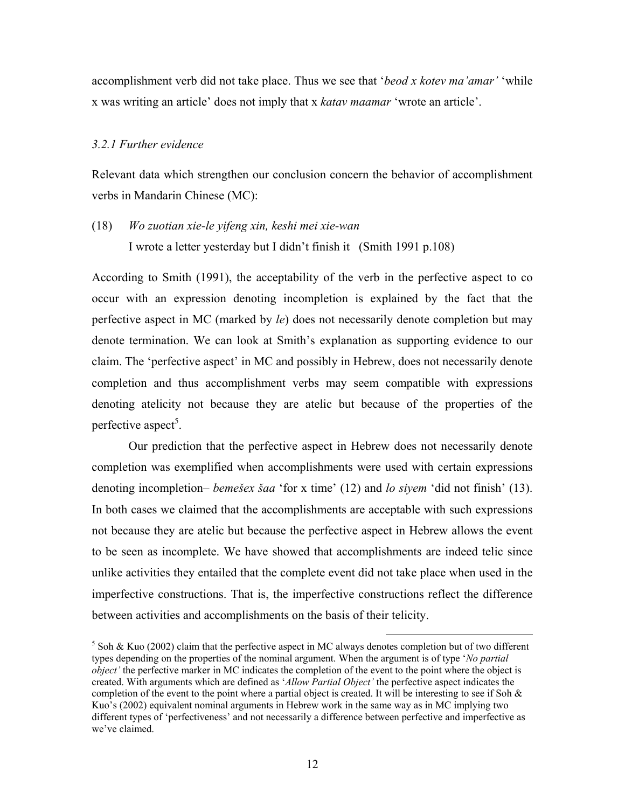accomplishment verb did not take place. Thus we see that '*beod x kotev ma'amar'* 'while x was writing an article' does not imply that x *katav maamar* 'wrote an article'.

#### *3.2.1 Further evidence*

Relevant data which strengthen our conclusion concern the behavior of accomplishment verbs in Mandarin Chinese (MC):

(18) *Wo zuotian xie-le yifeng xin, keshi mei xie-wan*  I wrote a letter yesterday but I didn't finish it (Smith 1991 p.108)

According to Smith (1991), the acceptability of the verb in the perfective aspect to co occur with an expression denoting incompletion is explained by the fact that the perfective aspect in MC (marked by *le*) does not necessarily denote completion but may denote termination. We can look at Smith's explanation as supporting evidence to our claim. The 'perfective aspect' in MC and possibly in Hebrew, does not necessarily denote completion and thus accomplishment verbs may seem compatible with expressions denoting atelicity not because they are atelic but because of the properties of the perfective aspect<sup>5</sup>.

 Our prediction that the perfective aspect in Hebrew does not necessarily denote completion was exemplified when accomplishments were used with certain expressions denoting incompletion– *bemešex šaa* 'for x time' (12) and *lo siyem* 'did not finish' (13). In both cases we claimed that the accomplishments are acceptable with such expressions not because they are atelic but because the perfective aspect in Hebrew allows the event to be seen as incomplete. We have showed that accomplishments are indeed telic since unlike activities they entailed that the complete event did not take place when used in the imperfective constructions. That is, the imperfective constructions reflect the difference between activities and accomplishments on the basis of their telicity.

<sup>&</sup>lt;sup>5</sup> Soh & Kuo (2002) claim that the perfective aspect in MC always denotes completion but of two different types depending on the properties of the nominal argument. When the argument is of type '*No partial object'* the perfective marker in MC indicates the completion of the event to the point where the object is created. With arguments which are defined as '*Allow Partial Object'* the perfective aspect indicates the completion of the event to the point where a partial object is created. It will be interesting to see if Soh  $\&$ Kuo's (2002) equivalent nominal arguments in Hebrew work in the same way as in MC implying two different types of 'perfectiveness' and not necessarily a difference between perfective and imperfective as we've claimed.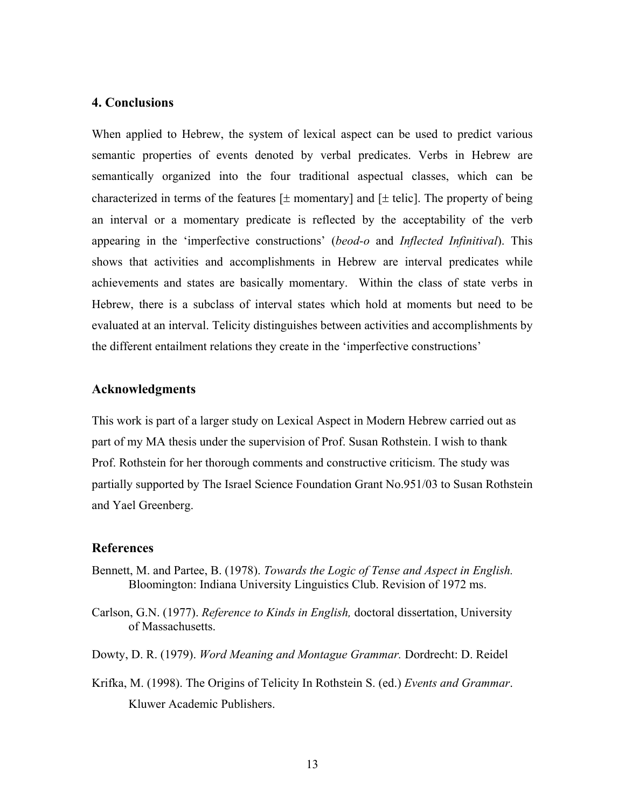# **4. Conclusions**

When applied to Hebrew, the system of lexical aspect can be used to predict various semantic properties of events denoted by verbal predicates. Verbs in Hebrew are semantically organized into the four traditional aspectual classes, which can be characterized in terms of the features  $[\pm$  momentary and  $[\pm$  telic. The property of being an interval or a momentary predicate is reflected by the acceptability of the verb appearing in the 'imperfective constructions' (*beod-o* and *Inflected Infinitival*). This shows that activities and accomplishments in Hebrew are interval predicates while achievements and states are basically momentary. Within the class of state verbs in Hebrew, there is a subclass of interval states which hold at moments but need to be evaluated at an interval. Telicity distinguishes between activities and accomplishments by the different entailment relations they create in the 'imperfective constructions'

# **Acknowledgments**

This work is part of a larger study on Lexical Aspect in Modern Hebrew carried out as part of my MA thesis under the supervision of Prof. Susan Rothstein. I wish to thank Prof. Rothstein for her thorough comments and constructive criticism. The study was partially supported by The Israel Science Foundation Grant No.951/03 to Susan Rothstein and Yael Greenberg.

#### **References**

- Bennett, M. and Partee, B. (1978). *Towards the Logic of Tense and Aspect in English.*  Bloomington: Indiana University Linguistics Club. Revision of 1972 ms.
- Carlson, G.N. (1977). *Reference to Kinds in English,* doctoral dissertation, University of Massachusetts.
- Dowty, D. R. (1979). *Word Meaning and Montague Grammar.* Dordrecht: D. Reidel
- Krifka, M. (1998). The Origins of Telicity In Rothstein S. (ed.) *Events and Grammar*. Kluwer Academic Publishers.